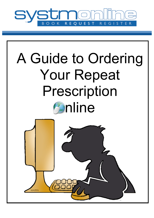

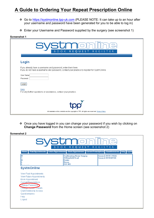## **A Guide to Ordering Your Repeat Prescription Online**

- v Go to https://systmonline.tpp-uk.com (PLEASE NOTE: It can take up to an hour after your username and password have been generated for you to be able to log in)
- \* Enter your Username and Password supplied by the surgery (see screenshot 1)

| Screenshot 1 |  |  |
|--------------|--|--|
|--------------|--|--|

| <b>SYStmo</b><br>BOOK REQUEST<br>REGISTER                                                                                                                       |
|-----------------------------------------------------------------------------------------------------------------------------------------------------------------|
| Login                                                                                                                                                           |
| If you already have a username and password, enter them here.<br>If you do not have a username and password, contact your practice to register for SystmOnline. |
| User Name<br>Password                                                                                                                                           |
| Login                                                                                                                                                           |
| Help<br>For any further questions or assistance, contact your practice.                                                                                         |
| All materials on this website are the copyright of TPP. All rights are reserved. Privacy Policy.                                                                |

\* Once you have logged in you can change your password if you wish by clicking on **Change Password** from the Home screen (see screenshot 2)

|                                                                                                                                                                                                              | <b>SVSTMO</b><br><b>BOOK</b><br>REQUEST                                                                  | REGISTER                                                                                                                          |
|--------------------------------------------------------------------------------------------------------------------------------------------------------------------------------------------------------------|----------------------------------------------------------------------------------------------------------|-----------------------------------------------------------------------------------------------------------------------------------|
| Past Appointments Future Appointments<br>Home<br>M<br>н                                                                                                                                                      | <b>Southernhay House Surgery</b><br><b>30 Barnfield Road</b><br><b>Exeter</b><br>Devon<br><b>EX1 1RX</b> | <b>Book Appointment   Current Prescriptions   Questionnaires   Help   Logout</b><br>General: 01392 211266<br>General: 01392425126 |
| <b>SystmOnline</b><br>View Past Appointments<br>View Future Appointments<br>Book Appointment<br><b>Current Prescriptions</b><br>Change Password<br>Citange Contact Details<br><b>Grant Additional Access</b> |                                                                                                          |                                                                                                                                   |
| Questionnaires<br>Help<br>Logout                                                                                                                                                                             |                                                                                                          |                                                                                                                                   |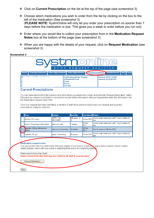- v Click on **Current Prescription** on the list at the top of the page (see screenshot 3)
- $\triangle$  Choose which medications you wish to order from the list by clicking on the box to the left of the medication (See screenshot 3) (**PLEASE NOTE:** SystmOnline will only let you order your prescription no sooner than 7 days before the medication is due. This gives you a week to order before you run out)
- v Enter where you would like to collect your prescription from in the **Medication Request Notes** box at the bottom of the page (see screenshot 3)
- \* When you are happy with the details of your request, click on **Request Medication** (see screenshot 3)

## **Screenshot 3**

| <b>Current Prescriptions</b>                                                 | <b>EX1 1RX</b>                     |                                                                                          |                           |                                                                                                                                                                                                                                                                                                                                                                                         |
|------------------------------------------------------------------------------|------------------------------------|------------------------------------------------------------------------------------------|---------------------------|-----------------------------------------------------------------------------------------------------------------------------------------------------------------------------------------------------------------------------------------------------------------------------------------------------------------------------------------------------------------------------------------|
| the 'Medication request notes' field.<br>prescriptions ready for collection. |                                    |                                                                                          |                           | To order prescriptions from the practice, tick which items you would like to order and press the 'Request Medication' button.<br>If the item you require is not listed or you need to include further information with your request then enter this information into<br>Once your request has been submitted, a member of staff at the practice will process your request and issue the |
| <b>Drug</b>                                                                  | <b>Dosage</b>                      | <b>Quantity</b>                                                                          | <b>Last Issued Status</b> |                                                                                                                                                                                                                                                                                                                                                                                         |
| Aciclovir 5% cream                                                           | <b>APPLY AS</b><br><b>REQUIRED</b> | 500 gram - 5<br>%                                                                        | 12 Apr 2012               | Cannot order medication until 7 day(s) before it's<br>due.                                                                                                                                                                                                                                                                                                                              |
| Aspirin 75mg dispersible tablets                                             | take one daily                     | 7 tablets                                                                                | 29 Dec<br>2011            | Cannot order medication until 7 day(s) before it's<br>due.                                                                                                                                                                                                                                                                                                                              |
| <b>In</b> uprofen 200mg effervescent<br>t/blets                              | take one 3 times/day               | 10 tablets                                                                               | 09 Dec<br>2011            | Due for review on 09 Jun 2012.                                                                                                                                                                                                                                                                                                                                                          |
| Ibuprofen 5% gel                                                             | apply 3 times/day                  | 30 grams                                                                                 | 03 Jan 2012               | Cannot order medication until 7 day(s) before it's<br>due.                                                                                                                                                                                                                                                                                                                              |
| <b>Medication request notes</b>                                              |                                    | details (please check with your practice regarding their policy on contacting patients). |                           | You can use this field to include notes with your request. If you require a reply then your practice please include contact                                                                                                                                                                                                                                                             |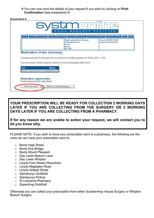vYou can now print the details of your request if you wish by clicking on **Print Confirmation** (see screenshot 4)

| OOK<br><b>REQUEST</b><br><b>REG</b><br>B.<br>STER<br><b>Help</b> Logout<br><b>Past Appointments</b><br><b>Future Appointments</b><br><b>Book Appointment Current Prescriptions</b><br>Questionnaires<br><b>Home</b> |                                                                                             |                                               |  |
|---------------------------------------------------------------------------------------------------------------------------------------------------------------------------------------------------------------------|---------------------------------------------------------------------------------------------|-----------------------------------------------|--|
|                                                                                                                                                                                                                     | <b>Southernhay House Surgery</b><br><b>30 Barnfield Road</b><br><b>Exeter</b><br>Devon      | General: 01392 211266<br>General: 01392425126 |  |
|                                                                                                                                                                                                                     |                                                                                             |                                               |  |
|                                                                                                                                                                                                                     |                                                                                             |                                               |  |
|                                                                                                                                                                                                                     | <b>EX11RX</b>                                                                               |                                               |  |
| <b>Medication Order Summary</b>                                                                                                                                                                                     |                                                                                             |                                               |  |
|                                                                                                                                                                                                                     | A request was sent to the practice to re-prescribe the following items on 19 Dec 2011 10:56 |                                               |  |
|                                                                                                                                                                                                                     | Your prescription will be ready for collection in two working days (after 2pm)              |                                               |  |
| <b>Item</b>                                                                                                                                                                                                         | <b>Status</b>                                                                               |                                               |  |
| buprofen 200mg effervescent tablets Requested                                                                                                                                                                       |                                                                                             |                                               |  |

**YOUR PRESCRIPTION WILL BE READY FOR COLLECTION 2 WORKING DAYS LATER IF YOU ARE COLLECTING FROM THE SURGERY OR 3 WORKING DAYS LATER IF YOU ARE COLLECTING FROM A PHARMACY.** 

**If for any reason we are unable to action your request, we will contact you to let you know why.**

PLEASE NOTE: If you wish to have your prescription sent to a pharmacy, the following are the ones we can have your prescription sent to:

- o Boots High Street
- o Boots Exe Bridge
- o Boots Mount Pleasant
- o Day Lewis Beacon Lane
- o Day Lewis Whipton
- o Lloyds Fore Street (Heavitree)
- o Lloyds Magdalen Road
- o Lloyds Sidwell Street
- o Sainsburys Guildhall
- o Sainsburys Pinhoe
- o St Leonards Pharmacy
- o Superdrug Guildhall

Otherwise you can collect your prescription from either Southernhay House Surgery or Whipton Branch Surgery.